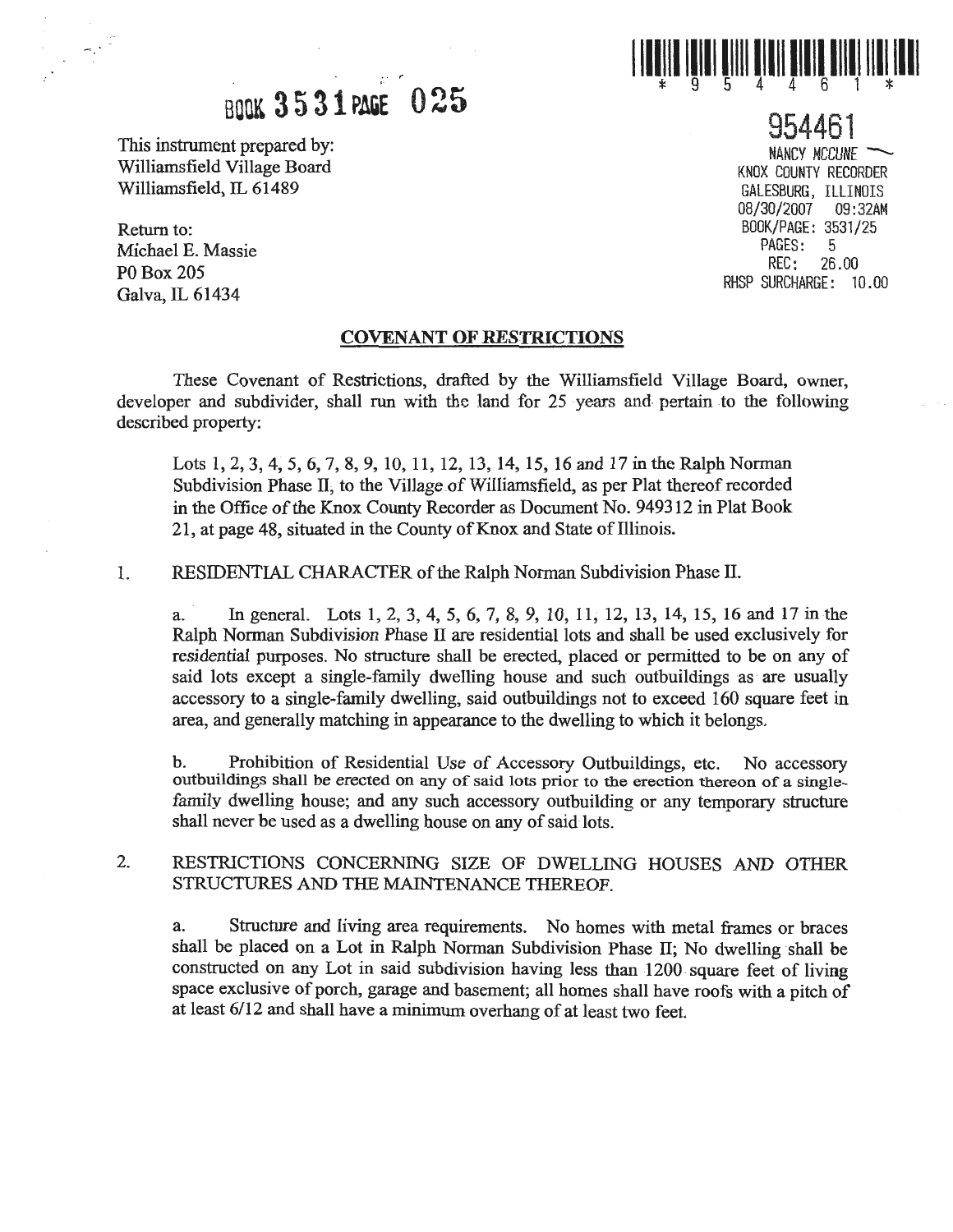

## **BOOK 3531 PAGE 025**

This instrument prepared by:<br>
Williamsfield Village Board<br>
Williamsfield Village Board<br>
NANCY MCCUNE Williamsfield Village Board Williamsfield, IL 61489 GALESBURG, ILLINOIS

Return to: Michael E. Massie P0Box205 Galva, IL 61434

#### **COVENANT OF RESTRICTIONS**

These Covenant of Restrictions, drafted by the Williamsfield Village Board, owner, developer and subdivider, shall run with the land for 25 years and pertain to the following described property:

Lots 1, 2, 3, 4, 5, 6, 7, 8, 9, 10, 11, 12, 13, 14, 15, 16 and 17 in the Ralph Norman Subdivision Phase II, to the Village of Williamsfield, as per Plat thereof recorded in the Office of the Knox County Recorder as Document No. 949312 in Plat Book 21, at page 48, situated in the County of Knox and State of Illinois.

1. RESIDENTIAL CHARACTER ofthe Ralph Norman Subdivision Phase II.

a. In general. Lots 1, 2, 3, 4, 5, 6, 7, 8, 9, 10, 11; 12, 13, 14, 15, 16 and 17 in the Ralph Norman Subdivision Phase II are residential lots and shall be used exclusively for residential purposes. No structure shall be erected, placed or permitted to be on any of said lots except a single-family dwelling house and such outbuildings as are usually accessory to a single-family dwelling; said outbuildings not to exceed 160 square feet in area, and generally matching in appearance to the dwelling to which it belongs.

b. Prohibition of Residential Use of Accessory Outbuildings, etc. No accessory outbuildings shall be erected on any of said lots prior to the erection thereon of a singlefamily dwelling house; and any such accessory outbuilding or any temporary structure shall never be used as a dwelling house on any of said lots.

2. RESTRICTIONS CONCERNING SIZE OF DWELLING HOUSES AND OTHER STRUCTURES AND THE MAINTENANCE THEREOF.

a. Structure and living area requirements. No homes with metal frames or braces shall be placed on a Lot in Ralph Norman Subdivision Phase II; No dwelling shall be constructed on any Lot in said subdivision having less than 1200 square feet of living space exclusive of porch, garage and basement; all homes shall have roofs with a pitch of at least 6/12 and shall have a minimum overhang of at least two feet.

954461 08/30/2007 09:32AM BOOK/PAGE: 3531/25 PAGES:<br>REC: 2 REC: 26.00 RHSP SURCHARGE: 10.00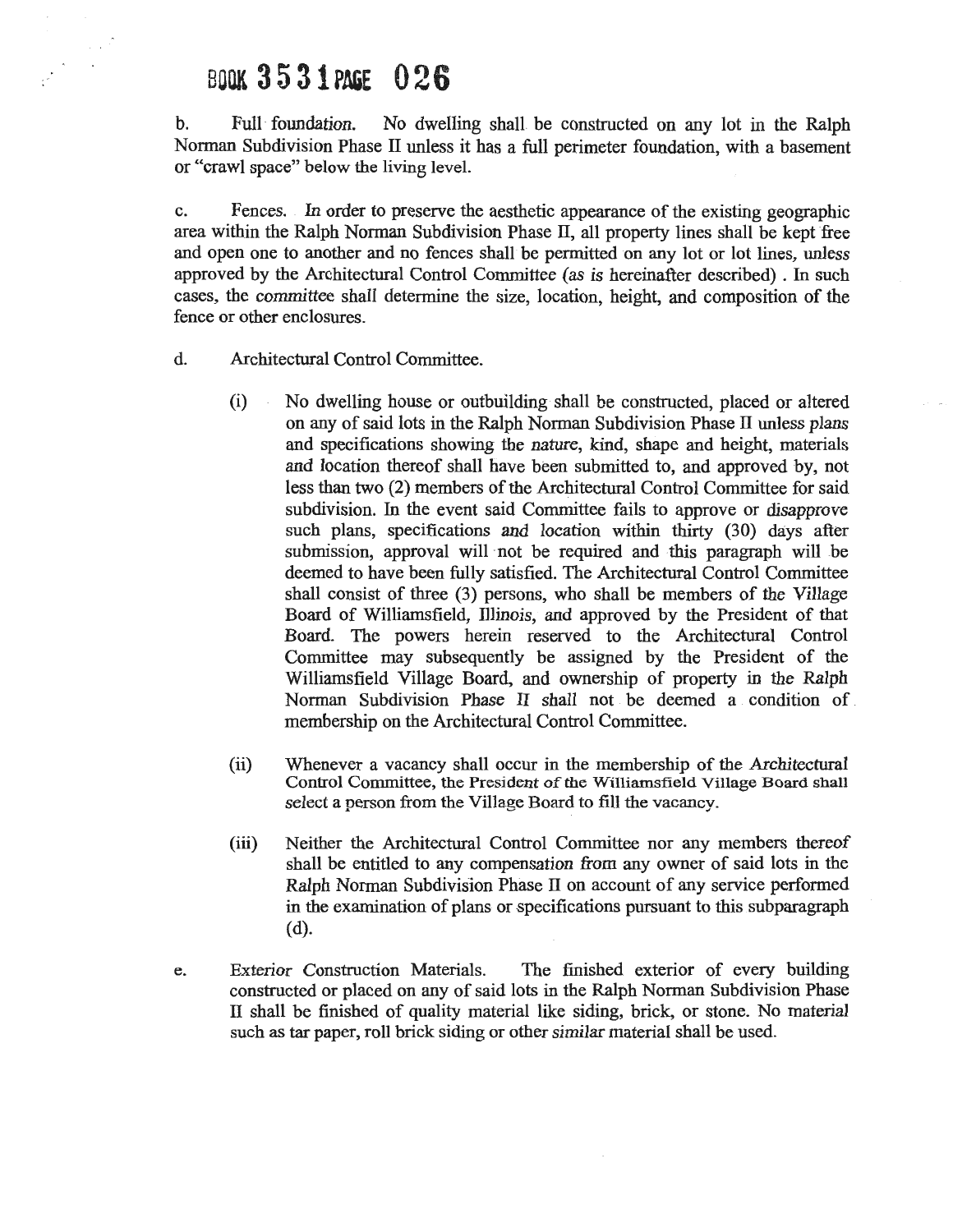### BOOK **3 5 31PAGE 026**

 $\sim$   $\sim$ 

b. Full · foundation. No dwelling shall be constructed on any lot in the Ralph Norman Subdivision Phase II unless it has a full perimeter foundation, with a basement or "crawl space" below the living level.

c. Fences. In order to preserve the aesthetic appearance of the existing geographic area within the Ralph Norman Subdivision Phase II, all property lines shall be kept free and open one to another and no fences shall be permitted on any lot or lot lines, unless approved by the Architectural Control Committee (as is hereinafter described). In such cases, the committee shall determine the size, location, height, and composition of the fence or other enclosures.

- d. Architectural Control Committee.
	- (i) No dwelling house or outbuilding shall be constructed, placed or altered on any of said lots in the Ralph Norman Subdivision Phase II unless plans and specifications showing the nature, kind, shape and height, materials and location thereof shall have been submitted to, and approved by, not less than two (2) members of the Architectural Control Committee for said subdivision. In the event said Committee fails to approve or disapprove such plans, specifications and location within thirty (30) days after submission, approval will not be required and this paragraph will be deemed to have been fully satisfied. The Architectural Control Committee shall consist of three (3) persons, who shall be members of the Village Board of Williamsfield, Illinois, and approved by the President of that Board. The powers herein reserved to the Architectural Control Committee may subsequently be assigned by the President of the Williamsfield Village Board, and ownership of property in the Ralph Norman Subdivision Phase II shall not be deemed a condition of membership on the Architectural Control Committee.
	- (ii) Whenever a vacancy shall occur in the membership of the Architectural Control Committee, the President of the Williamsfield Village Board shall select a person from the Village Board to fill the vacancy.
	- (iii) Neither the Architectural Control Committee nor any members thereof shall be entitled to any compensation from any owner of said lots in the Ralph Norman Subdivision Phase II on account of any service performed in the examination of plans or specifications pursuant to this subparagraph (d).
- e. Exterior Construction Materials. The finished exterior of every building constructed or placed on any of said lots in the Ralph Norman Subdivision Phase II shall be finished of quality material like siding, brick, or stone. No material such as tar paper, roll brick siding or other similar material shall be used.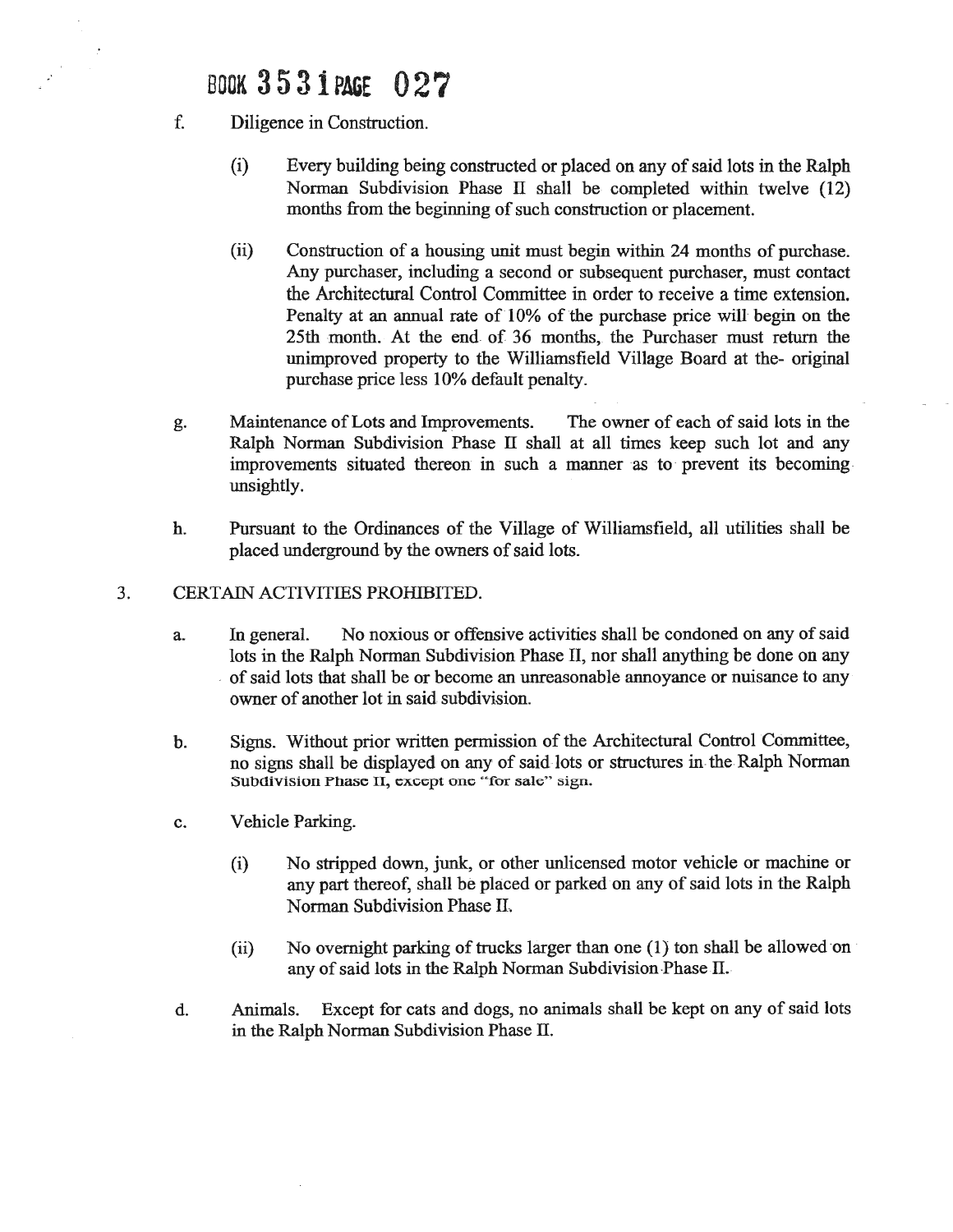### BOOK **3 5 3 iPAGE 027**

f. Diligence in Construction.

 $\sim$ 

- (i) Every building being constructed or placed on any of said lots in the Ralph Norman Subdivision Phase  $\Pi$  shall be completed within twelve (12) months from the beginning of such construction or placement.
- (ii) Construction of a housing unit must begin within 24 months of purchase. Any purchaser, including a second or subsequent purchaser, must contact the Architectural Control Committee in order to receive a time extension. Penalty at an annual rate of 10% of the purchase price will begin on the 25th month. At the end of 36 months, the Purchaser must return the unimproved property to the Williamsfield Village Board at the- original purchase price less 10% default penalty.
- g. Maintenance ofLots and Improvements. The owner of each of said lots in the Ralph Norman Subdivision Phase II shall at all times keep such lot and any improvements situated thereon in such a manner as to· prevent its becoming. unsightly.
- h. Pursuant to the Ordinances of the Village of Williamsfield, all utilities shall be placed underground by the owners of said lots.

#### 3. CERTAIN ACTIVITIES PROHIBITED.

- a. In general. No noxious or offensive activities shall be condoned on any of said lots in the Ralph Norman Subdivision Phase II, nor shall anything be done on any . of said lots that shall be or become an unreasonable annoyance or nuisance to any· owner of another lot in said subdivision.
- b. Signs. Without prior written permission of the Architectural Control Committee, no signs shall be displayed on any of said lots or structures in. the Ralph Norman Subdivision Phase II, except one "for sale" sign.
- c. Vehicle Parking.
	- (i) No stripped down, junk, or other unlicensed motor vehicle or machine or any part thereof, shall be placed or parked on any of said lots in the Ralph Norman Subdivision Phase II.
	- (ii) No overnight parking of trucks larger than one (1) ton shall be allowed on any of said lots in the Ralph Norman Subdivision Phase  $\Pi$ .
- d. Animals. Except for cats and dogs, no animals shall be kept on any of said lots in the Ralph Norman Subdivision Phase IL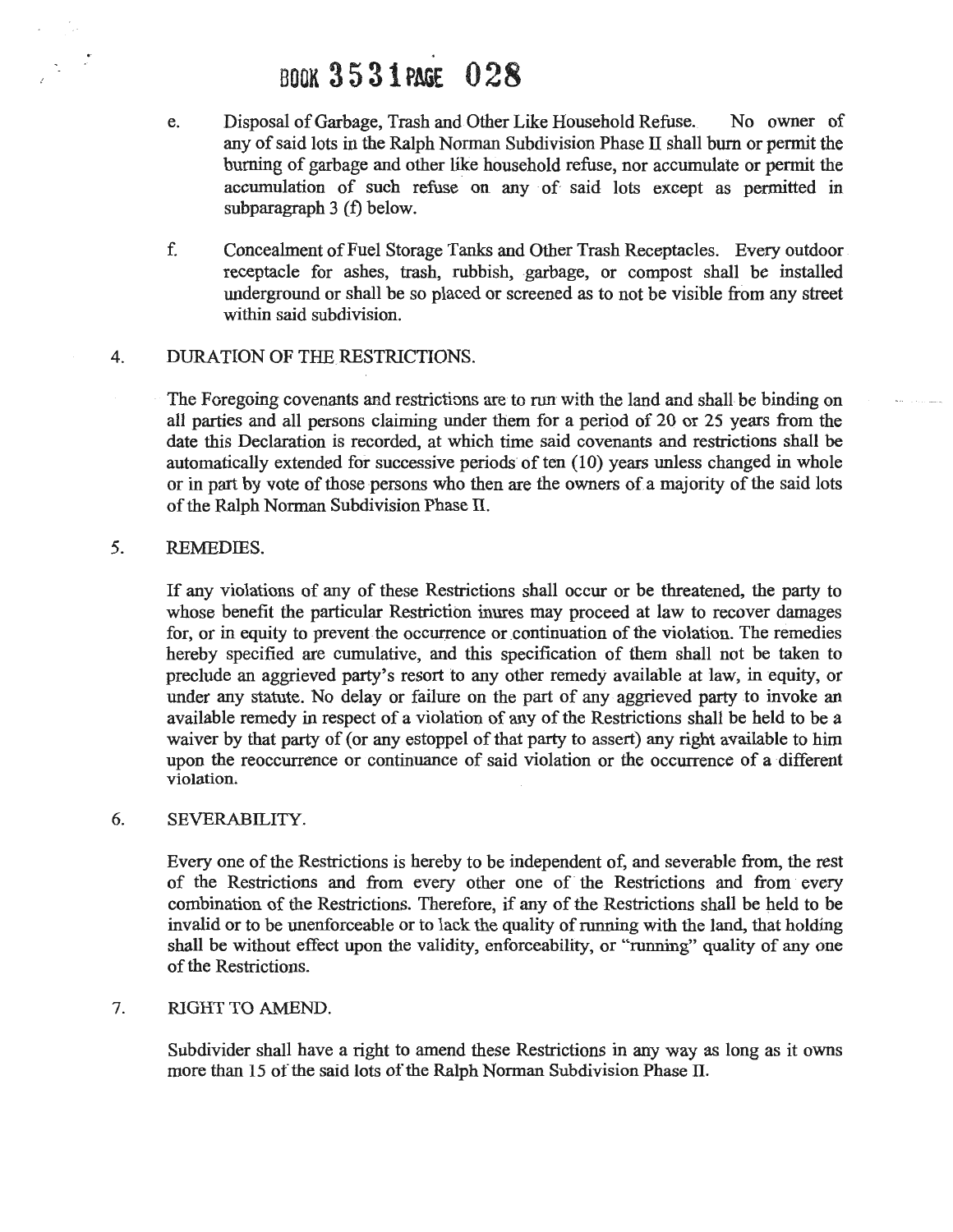### . **BOOK3 5 3 1 PAGE O 2 8**

- e. Disposal of Garbage, Trash and Other Like Household Refuse. No owner of any of said lots in the Ralph Norman Subdivision Phase II shall burn or permit the burning of garbage and other like household refuse, nor accumulate or permit the accumulation of such refuse on any of said lots except as permitted in subparagraph 3 (f) below.
- f. Concealment ofFuel Storage Tanks and Other Trash Receptacles. Every outdoor receptacle for ashes, trash, rubbish, garbage, or compost shall be installed underground or shall be so placed or screened as to not be visible from any street within said subdivision.

#### 4. DURATION OF THE RESTRICTIONS.

The Foregoing covenants and restrictions are to run with the land and shalt be binding on all parties and all persons claiming under them for a period of 20 or 25 years from the date this Declaration is recorded, at which time said covenants and restrictions shall be automatically extended for successive periods of ten (10) years unless changed in whole or in part by vote of those persons who then are the owners of a majority of the said lots of the Ralph Norman Subdivision Phase II.

#### 5. REMEDIES.

If any violations of any of these Restrictions shall occur or be threatened, the party to whose benefit the particular Restriction inures may proceed at law to recover damages for, or in equity to prevent the occurrence or continuation of the violation. The remedies hereby specified are cumulative, and this specification of them shall not be taken to preclude an aggrieved party's resort to any other remedy available at law, in equity, or under any statute. No delay or failure on the part of any· aggrieved party to invoke an available remedy in respect of a violation of any of the Restrictions shall be held to be a waiver by that party of (or any estoppel of that party to assert) any right available to him upon the reoccurrence or continuance of said violation or the occurrence of a different violation.

#### 6. SEVERABILITY.

Every one of the Restrictions is hereby to be independent of, and severable from, the rest of the Restrictions and from every other one of·the Restrictions and from every combination of the Restrictions. Therefore, if any of the Restrictions shall be held to be invalid or to be unenforceable or to lack the quality of running with the land, that holding shall be without effect upon the validity, enforceability, or "running" quality of any one of the Restrictions.

#### 7. RIGHT TO AMEND.

Subdivider shall have a right to amend these Restrictions in any way as long as it owns more than 15 of the said lots of the Ralph Norman Subdivision Phase II.